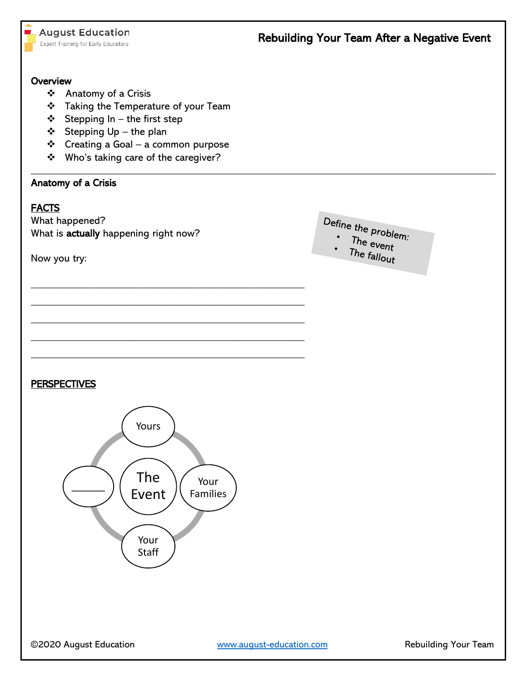#### **Overview**

- ❖ Anatomy of a Crisis
- ❖ Taking the Temperature of your Team
- $\div$  Stepping In the first step
- ❖ Stepping Up the plan
- ❖ Creating a Goal a common purpose

\_\_\_\_\_\_\_\_\_\_\_\_\_\_\_\_\_\_\_\_\_\_\_\_\_\_\_\_\_\_\_\_\_\_\_\_\_\_\_\_\_\_\_\_\_\_\_\_\_\_\_\_\_

\_\_\_\_\_\_\_\_\_\_\_\_\_\_\_\_\_\_\_\_\_\_\_\_\_\_\_\_\_\_\_\_\_\_\_\_\_\_\_\_\_\_\_\_\_\_\_\_\_\_\_\_\_

\_\_\_\_\_\_\_\_\_\_\_\_\_\_\_\_\_\_\_\_\_\_\_\_\_\_\_\_\_\_\_\_\_\_\_\_\_\_\_\_\_\_\_\_\_\_\_\_\_\_\_\_\_

\_\_\_\_\_\_\_\_\_\_\_\_\_\_\_\_\_\_\_\_\_\_\_\_\_\_\_\_\_\_\_\_\_\_\_\_\_\_\_\_\_\_\_\_\_\_\_\_\_\_\_\_\_

\_\_\_\_\_\_\_\_\_\_\_\_\_\_\_\_\_\_\_\_\_\_\_\_\_\_\_\_\_\_\_\_\_\_\_\_\_\_\_\_\_\_\_\_\_\_\_\_\_\_\_\_\_

❖ Who's taking care of the caregiver?

### Anatomy of a Crisis

### **FACTS**

What happened? What is actually happening right now?

Now you try:



 $\_$  , and the set of the set of the set of the set of the set of the set of the set of the set of the set of the set of the set of the set of the set of the set of the set of the set of the set of the set of the set of th

- Define the problem:<br>
The even
	- $The event$
	- The fallout

### **PERSPECTIVES**

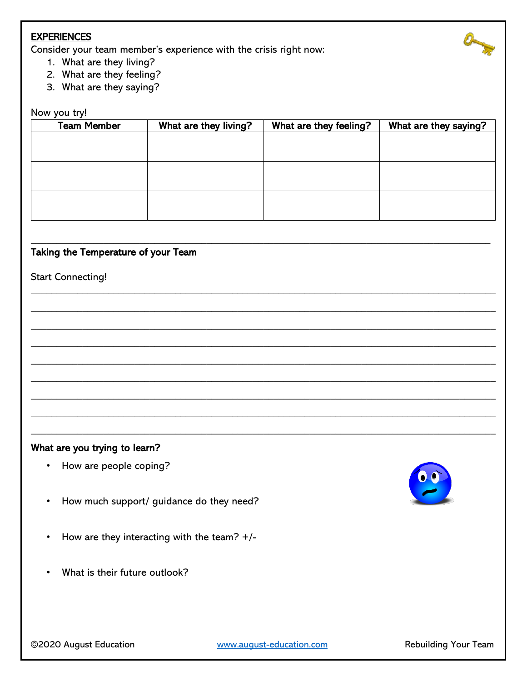### **EXPERIENCES**

Consider your team member's experience with the crisis right now:

- 1. What are they living?
- 2. What are they feeling?
- 3. What are they saying?

#### Now you try!

| <b>Team Member</b> | What are they living? | What are they feeling? | What are they saying? |
|--------------------|-----------------------|------------------------|-----------------------|
|                    |                       |                        |                       |
|                    |                       |                        |                       |
|                    |                       |                        |                       |
|                    |                       |                        |                       |
|                    |                       |                        |                       |
|                    |                       |                        |                       |
|                    |                       |                        |                       |

\_\_\_\_\_\_\_\_\_\_\_\_\_\_\_\_\_\_\_\_\_\_\_\_\_\_\_\_\_\_\_\_\_\_\_\_\_\_\_\_\_\_\_\_\_\_\_\_\_\_\_\_\_\_\_\_\_\_\_\_\_\_\_\_\_\_\_\_\_\_\_\_\_\_\_\_\_\_\_\_\_\_\_\_\_\_\_\_\_

 $\_$  , and the set of the set of the set of the set of the set of the set of the set of the set of the set of the set of the set of the set of the set of the set of the set of the set of the set of the set of the set of th

 $\_$  , and the set of the set of the set of the set of the set of the set of the set of the set of the set of the set of the set of the set of the set of the set of the set of the set of the set of the set of the set of th

 $\_$  , and the set of the set of the set of the set of the set of the set of the set of the set of the set of the set of the set of the set of the set of the set of the set of the set of the set of the set of the set of th

 $\_$  , and the set of the set of the set of the set of the set of the set of the set of the set of the set of the set of the set of the set of the set of the set of the set of the set of the set of the set of the set of th

 $\_$  , and the set of the set of the set of the set of the set of the set of the set of the set of the set of the set of the set of the set of the set of the set of the set of the set of the set of the set of the set of th

 $\_$  , and the set of the set of the set of the set of the set of the set of the set of the set of the set of the set of the set of the set of the set of the set of the set of the set of the set of the set of the set of th

 $\_$  , and the set of the set of the set of the set of the set of the set of the set of the set of the set of the set of the set of the set of the set of the set of the set of the set of the set of the set of the set of th

 $\_$  , and the set of the set of the set of the set of the set of the set of the set of the set of the set of the set of the set of the set of the set of the set of the set of the set of the set of the set of the set of th

 $\_$  , and the set of the set of the set of the set of the set of the set of the set of the set of the set of the set of the set of the set of the set of the set of the set of the set of the set of the set of the set of th

# Taking the Temperature of your Team

#### Start Connecting!

#### What are you trying to learn?

- How are people coping?
- How much support/ guidance do they need?
- How are they interacting with the team? +/-
- What is their future outlook?



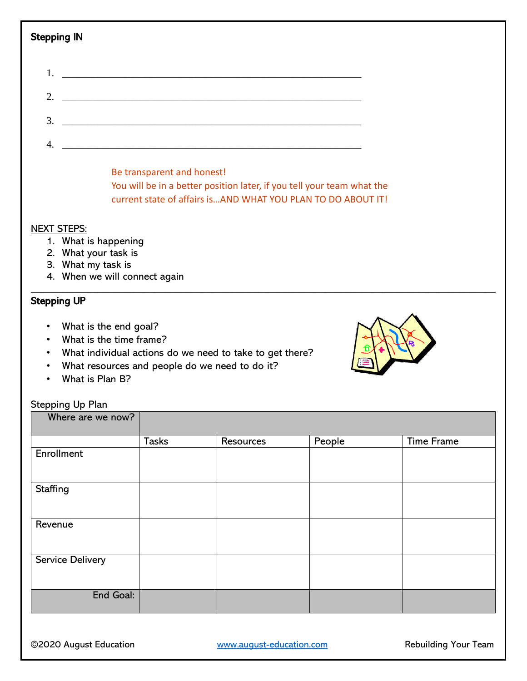| Stepping IN    |                                                                                           |  |
|----------------|-------------------------------------------------------------------------------------------|--|
| 1.             |                                                                                           |  |
| 2.             |                                                                                           |  |
| 3.             | the control of the control of the control of the control of the control of the control of |  |
| $\overline{4}$ |                                                                                           |  |

Be transparent and honest! You will be in a better position later, if you tell your team what the current state of affairs is…AND WHAT YOU PLAN TO DO ABOUT IT!

 $\_$  , and the set of the set of the set of the set of the set of the set of the set of the set of the set of the set of the set of the set of the set of the set of the set of the set of the set of the set of the set of th

#### NEXT STEPS:

- 1. What is happening
- 2. What your task is
- 3. What my task is
- 4. When we will connect again

## Stepping UP

- What is the end goal?
- What is the time frame?
- What individual actions do we need to take to get there?
- What resources and people do we need to do it?
- What is Plan B?

# Stepping Up Plan

|              |           | <b>Time Frame</b> |
|--------------|-----------|-------------------|
|              |           |                   |
|              |           |                   |
|              |           |                   |
|              |           |                   |
|              |           |                   |
|              |           |                   |
|              |           |                   |
|              |           |                   |
|              |           |                   |
|              |           |                   |
|              |           |                   |
|              |           |                   |
|              |           |                   |
|              |           |                   |
| <b>Tasks</b> | Resources | People            |

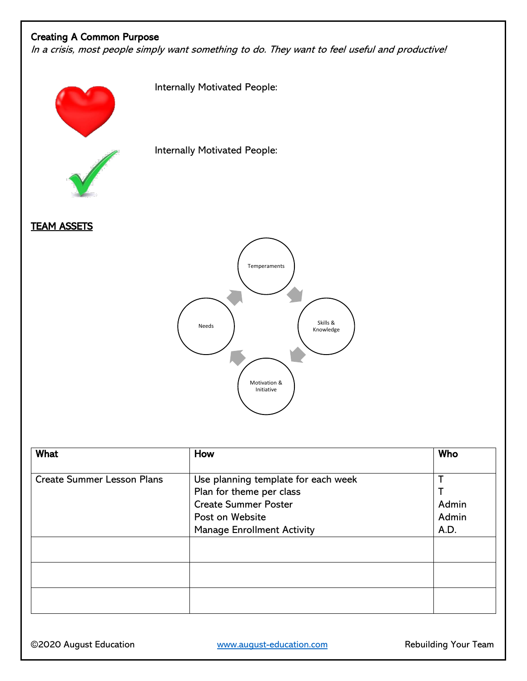# Creating A Common Purpose

In a crisis, most people simply want something to do. They want to feel useful and productive!

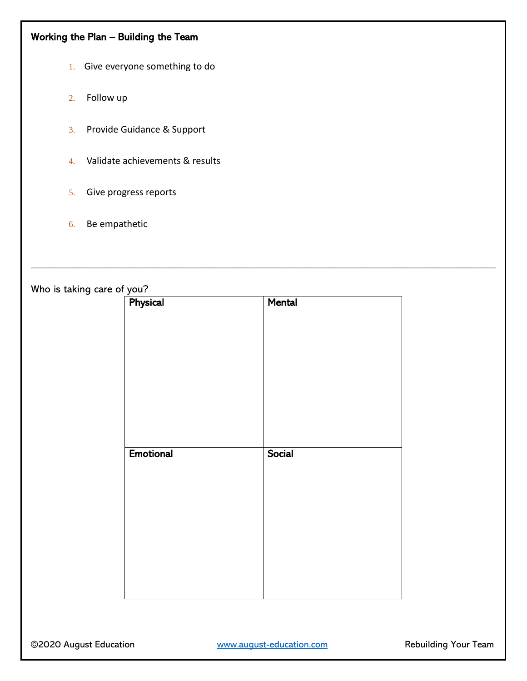# Working the Plan – Building the Team

- 1. Give everyone something to do
- 2. Follow up
- 3. Provide Guidance & Support
- 4. Validate achievements & results
- 5. Give progress reports
- 6. Be empathetic

Who is taking care of you?

| $\sqrt{\frac{90a}{1}}$ | Mental |
|------------------------|--------|
|                        |        |
|                        |        |
|                        |        |
|                        |        |
|                        |        |
|                        |        |
|                        |        |
| <b>Emotional</b>       | Social |
|                        |        |
|                        |        |
|                        |        |
|                        |        |
|                        |        |
|                        |        |

 $\_$  , and the set of the set of the set of the set of the set of the set of the set of the set of the set of the set of the set of the set of the set of the set of the set of the set of the set of the set of the set of th